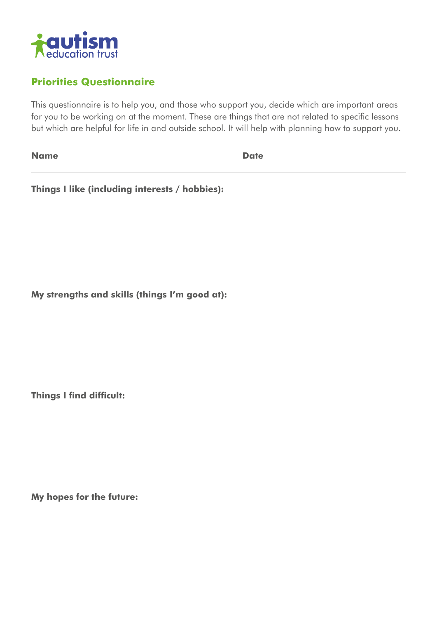

## **Priorities Questionnaire**

This questionnaire is to help you, and those who support you, decide which are important areas for you to be working on at the moment. These are things that are not related to specific lessons but which are helpful for life in and outside school. It will help with planning how to support you.

**Name**

**Date**

**Things I like (including interests / hobbies):**

**My strengths and skills (things I'm good at):**

**Things I find difficult:**

**My hopes for the future:**